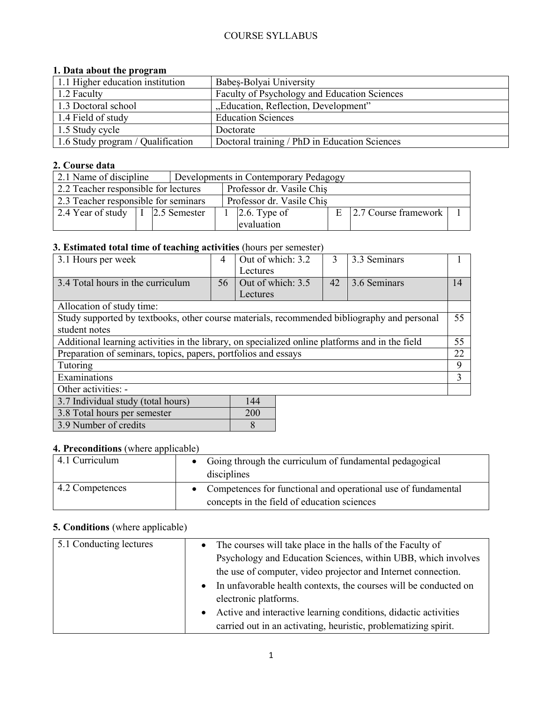## COURSE SYLLABUS

#### **1. Data about the program**

| 1.1 Higher education institution  | Babes-Bolyai University                       |
|-----------------------------------|-----------------------------------------------|
| 1.2 Faculty                       | Faculty of Psychology and Education Sciences  |
| 1.3 Doctoral school               | "Education, Reflection, Development"          |
| 1.4 Field of study                | <b>Education Sciences</b>                     |
| 1.5 Study cycle                   | Doctorate                                     |
| 1.6 Study program / Qualification | Doctoral training / PhD in Education Sciences |

### **2. Course data**

| 2.1 Name of discipline                         |  |  | Developments in Contemporary Pedagogy |                           |                           |  |                                    |  |
|------------------------------------------------|--|--|---------------------------------------|---------------------------|---------------------------|--|------------------------------------|--|
| 2.2 Teacher responsible for lectures           |  |  |                                       | Professor dr. Vasile Chis |                           |  |                                    |  |
| 2.3 Teacher responsible for seminars           |  |  |                                       |                           | Professor dr. Vasile Chis |  |                                    |  |
| 2.4 Year of study $\vert I \vert$ 2.5 Semester |  |  |                                       | $2.6$ . Type of           |                           |  | $E$ 2.7 Course framework $\vert$ 1 |  |
|                                                |  |  |                                       | evaluation                |                           |  |                                    |  |

# **3. Estimated total time of teaching activities** (hours per semester)

| -                                                                                               |    |                   |    |              |    |
|-------------------------------------------------------------------------------------------------|----|-------------------|----|--------------|----|
| 3.1 Hours per week                                                                              | 4  | Out of which: 3.2 | 3  | 3.3 Seminars |    |
|                                                                                                 |    | Lectures          |    |              |    |
| 3.4 Total hours in the curriculum                                                               | 56 | Out of which: 3.5 | 42 | 3.6 Seminars | 14 |
|                                                                                                 |    | Lectures          |    |              |    |
| Allocation of study time:                                                                       |    |                   |    |              |    |
| Study supported by textbooks, other course materials, recommended bibliography and personal     |    |                   |    |              | 55 |
| student notes                                                                                   |    |                   |    |              |    |
| Additional learning activities in the library, on specialized online platforms and in the field |    |                   |    |              | 55 |
| Preparation of seminars, topics, papers, portfolios and essays                                  |    |                   |    |              | 22 |
| Tutoring                                                                                        |    |                   |    |              | 9  |
| Examinations                                                                                    |    |                   |    |              | 3  |
| Other activities: -                                                                             |    |                   |    |              |    |
| 3.7 Individual study (total hours)                                                              |    | 144               |    |              |    |
| 3.8 Total hours per semester                                                                    |    | 200               |    |              |    |
| 3.9 Number of credits                                                                           |    | 8                 |    |              |    |

| <b>4. Preconditions</b> (where applicable) |                                                                      |  |  |  |
|--------------------------------------------|----------------------------------------------------------------------|--|--|--|
| 4.1 Curriculum                             | Going through the curriculum of fundamental pedagogical<br>$\bullet$ |  |  |  |
|                                            | disciplines                                                          |  |  |  |
| 4.2 Competences                            | Competences for functional and operational use of fundamental        |  |  |  |
|                                            | concepts in the field of education sciences                          |  |  |  |

## **5. Conditions** (where applicable)

| 5.1 Conducting lectures | The courses will take place in the halls of the Faculty of<br>$\bullet$       |
|-------------------------|-------------------------------------------------------------------------------|
|                         | Psychology and Education Sciences, within UBB, which involves                 |
|                         | the use of computer, video projector and Internet connection.                 |
|                         | In unfavorable health contexts, the courses will be conducted on<br>$\bullet$ |
|                         | electronic platforms.                                                         |
|                         | Active and interactive learning conditions, didactic activities<br>$\bullet$  |
|                         | carried out in an activating, heuristic, problematizing spirit.               |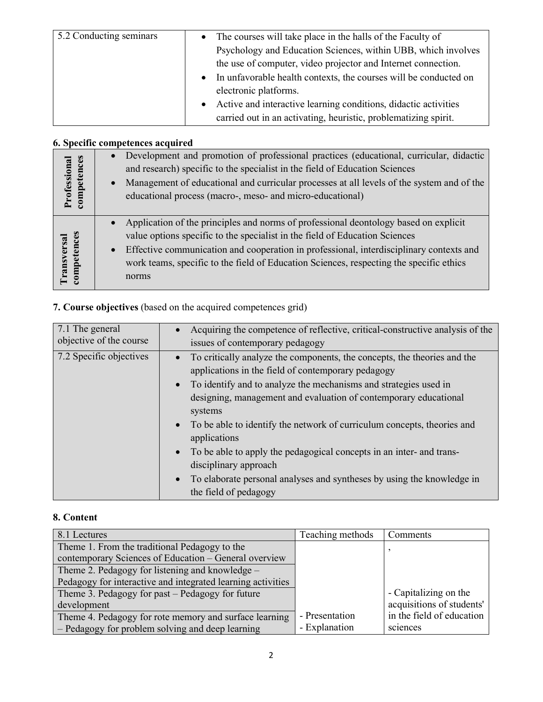| 5.2 Conducting seminars | The courses will take place in the halls of the Faculty of<br>$\bullet$       |
|-------------------------|-------------------------------------------------------------------------------|
|                         | Psychology and Education Sciences, within UBB, which involves                 |
|                         | the use of computer, video projector and Internet connection.                 |
|                         | In unfavorable health contexts, the courses will be conducted on<br>$\bullet$ |
|                         | electronic platforms.                                                         |
|                         | Active and interactive learning conditions, didactic activities<br>$\bullet$  |
|                         | carried out in an activating, heuristic, problematizing spirit.               |

## **6. Specific competences acquired**

| Professional<br>competences | Development and promotion of professional practices (educational, curricular, didactic<br>$\bullet$<br>and research) specific to the specialist in the field of Education Sciences<br>Management of educational and curricular processes at all levels of the system and of the<br>$\bullet$                                                                                                 |
|-----------------------------|----------------------------------------------------------------------------------------------------------------------------------------------------------------------------------------------------------------------------------------------------------------------------------------------------------------------------------------------------------------------------------------------|
|                             | educational process (macro-, meso- and micro-educational)                                                                                                                                                                                                                                                                                                                                    |
| competences<br>ransversal   | Application of the principles and norms of professional deontology based on explicit<br>$\bullet$<br>value options specific to the specialist in the field of Education Sciences<br>Effective communication and cooperation in professional, interdisciplinary contexts and<br>$\bullet$<br>work teams, specific to the field of Education Sciences, respecting the specific ethics<br>norms |

# **7. Course objectives** (based on the acquired competences grid)

| 7.1 The general         | Acquiring the competence of reflective, critical-constructive analysis of the                                                                                                                                                                                                                                                                                                                                                                                                                                                                                                        |
|-------------------------|--------------------------------------------------------------------------------------------------------------------------------------------------------------------------------------------------------------------------------------------------------------------------------------------------------------------------------------------------------------------------------------------------------------------------------------------------------------------------------------------------------------------------------------------------------------------------------------|
| objective of the course | issues of contemporary pedagogy                                                                                                                                                                                                                                                                                                                                                                                                                                                                                                                                                      |
| 7.2 Specific objectives | To critically analyze the components, the concepts, the theories and the<br>applications in the field of contemporary pedagogy<br>To identify and to analyze the mechanisms and strategies used in<br>designing, management and evaluation of contemporary educational<br>systems<br>• To be able to identify the network of curriculum concepts, theories and<br>applications<br>• To be able to apply the pedagogical concepts in an inter- and trans-<br>disciplinary approach<br>To elaborate personal analyses and syntheses by using the knowledge in<br>the field of pedagogy |

## **8. Content**

| 8.1 Lectures                                                | Teaching methods | Comments                  |
|-------------------------------------------------------------|------------------|---------------------------|
| Theme 1. From the traditional Pedagogy to the               |                  |                           |
| contemporary Sciences of Education – General overview       |                  |                           |
| Theme 2. Pedagogy for listening and knowledge –             |                  |                           |
| Pedagogy for interactive and integrated learning activities |                  |                           |
| Theme 3. Pedagogy for past – Pedagogy for future            |                  | - Capitalizing on the     |
| development                                                 |                  | acquisitions of students' |
| Theme 4. Pedagogy for rote memory and surface learning      | - Presentation   | in the field of education |
| - Pedagogy for problem solving and deep learning            | - Explanation    | sciences                  |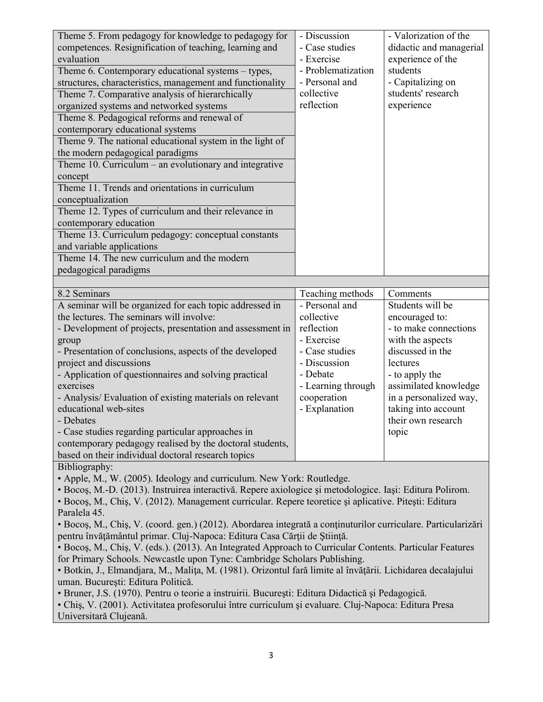| Theme 5. From pedagogy for knowledge to pedagogy for                                                                                                                                                     | - Discussion       | - Valorization of the   |  |  |
|----------------------------------------------------------------------------------------------------------------------------------------------------------------------------------------------------------|--------------------|-------------------------|--|--|
| competences. Resignification of teaching, learning and                                                                                                                                                   | - Case studies     | didactic and managerial |  |  |
| evaluation                                                                                                                                                                                               | - Exercise         | experience of the       |  |  |
| Theme 6. Contemporary educational systems – types,                                                                                                                                                       | - Problematization | students                |  |  |
| structures, characteristics, management and functionality                                                                                                                                                | - Personal and     | - Capitalizing on       |  |  |
| Theme 7. Comparative analysis of hierarchically                                                                                                                                                          | collective         | students' research      |  |  |
| organized systems and networked systems                                                                                                                                                                  | reflection         | experience              |  |  |
| Theme 8. Pedagogical reforms and renewal of                                                                                                                                                              |                    |                         |  |  |
| contemporary educational systems                                                                                                                                                                         |                    |                         |  |  |
| Theme 9. The national educational system in the light of                                                                                                                                                 |                    |                         |  |  |
| the modern pedagogical paradigms                                                                                                                                                                         |                    |                         |  |  |
| Theme 10. Curriculum – an evolutionary and integrative                                                                                                                                                   |                    |                         |  |  |
| concept                                                                                                                                                                                                  |                    |                         |  |  |
| Theme 11. Trends and orientations in curriculum                                                                                                                                                          |                    |                         |  |  |
|                                                                                                                                                                                                          |                    |                         |  |  |
| conceptualization                                                                                                                                                                                        |                    |                         |  |  |
| Theme 12. Types of curriculum and their relevance in                                                                                                                                                     |                    |                         |  |  |
| contemporary education                                                                                                                                                                                   |                    |                         |  |  |
| Theme 13. Curriculum pedagogy: conceptual constants                                                                                                                                                      |                    |                         |  |  |
| and variable applications                                                                                                                                                                                |                    |                         |  |  |
| Theme 14. The new curriculum and the modern                                                                                                                                                              |                    |                         |  |  |
| pedagogical paradigms                                                                                                                                                                                    |                    |                         |  |  |
|                                                                                                                                                                                                          |                    |                         |  |  |
| 8.2 Seminars                                                                                                                                                                                             | Teaching methods   | Comments                |  |  |
| A seminar will be organized for each topic addressed in                                                                                                                                                  | - Personal and     | Students will be        |  |  |
| the lectures. The seminars will involve:                                                                                                                                                                 | collective         | encouraged to:          |  |  |
| - Development of projects, presentation and assessment in                                                                                                                                                | reflection         | - to make connections   |  |  |
| group                                                                                                                                                                                                    | - Exercise         | with the aspects        |  |  |
| - Presentation of conclusions, aspects of the developed                                                                                                                                                  | - Case studies     | discussed in the        |  |  |
| project and discussions                                                                                                                                                                                  | - Discussion       | lectures                |  |  |
| - Application of questionnaires and solving practical                                                                                                                                                    | - Debate           | - to apply the          |  |  |
| exercises                                                                                                                                                                                                | - Learning through | assimilated knowledge   |  |  |
| - Analysis/ Evaluation of existing materials on relevant                                                                                                                                                 | cooperation        | in a personalized way,  |  |  |
| educational web-sites                                                                                                                                                                                    | - Explanation      | taking into account     |  |  |
| - Debates                                                                                                                                                                                                |                    | their own research      |  |  |
| - Case studies regarding particular approaches in                                                                                                                                                        |                    | topic                   |  |  |
| contemporary pedagogy realised by the doctoral students,                                                                                                                                                 |                    |                         |  |  |
| based on their individual doctoral research topics                                                                                                                                                       |                    |                         |  |  |
| Bibliography:                                                                                                                                                                                            |                    |                         |  |  |
| · Apple, M., W. (2005). Ideology and curriculum. New York: Routledge.                                                                                                                                    |                    |                         |  |  |
| · Bocoș, M.-D. (2013). Instruirea interactivă. Repere axiologice și metodologice. Iași: Editura Polirom.                                                                                                 |                    |                         |  |  |
| · Bocoș, M., Chiș, V. (2012). Management curricular. Repere teoretice și aplicative. Pitești: Editura                                                                                                    |                    |                         |  |  |
| Paralela 45.                                                                                                                                                                                             |                    |                         |  |  |
|                                                                                                                                                                                                          |                    |                         |  |  |
| • Bocoș, M., Chiș, V. (coord. gen.) (2012). Abordarea integrată a conținuturilor curriculare. Particularizări                                                                                            |                    |                         |  |  |
| pentru învățământul primar. Cluj-Napoca: Editura Casa Cărții de Știință.                                                                                                                                 |                    |                         |  |  |
| • Bocoș, M., Chiș, V. (eds.). (2013). An Integrated Approach to Curricular Contents. Particular Features<br>for Primary Schools. Newcastle upon Tyne: Cambridge Scholars Publishing.                     |                    |                         |  |  |
| · Botkin, J., Elmandjara, M., Malita, M. (1981). Orizontul fară limite al învățării. Lichidarea decalajului                                                                                              |                    |                         |  |  |
|                                                                                                                                                                                                          |                    |                         |  |  |
| uman. București: Editura Politică.                                                                                                                                                                       |                    |                         |  |  |
| · Bruner, J.S. (1970). Pentru o teorie a instruirii. București: Editura Didactică și Pedagogică.<br>· Chiș, V. (2001). Activitatea profesorului între curriculum și evaluare. Cluj-Napoca: Editura Presa |                    |                         |  |  |
|                                                                                                                                                                                                          |                    |                         |  |  |

Universitară Clujeană.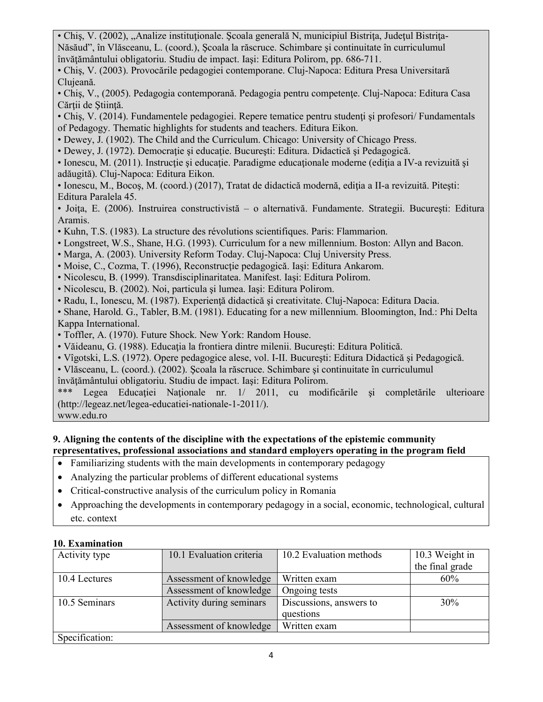• Chis, V. (2002), "Analize instituționale. Școala generală N, municipiul Bistrița, Județul Bistrița-Năsăud", în Vlăsceanu, L. (coord.), Şcoala la răscruce. Schimbare şi continuitate în curriculumul învăţământului obligatoriu. Studiu de impact. Iaşi: Editura Polirom, pp. 686-711.

• Chiş, V. (2003). Provocările pedagogiei contemporane. Cluj-Napoca: Editura Presa Universitară Clujeană.

- Chiş, V., (2005). Pedagogia contemporană. Pedagogia pentru competenţe. Cluj-Napoca: Editura Casa Cărtii de Stiință.
- Chis, V. (2014). Fundamentele pedagogiei. Repere tematice pentru studenți și profesori/ Fundamentals of Pedagogy. Thematic highlights for students and teachers. Editura Eikon.
- Dewey, J. (1902). The Child and the Curriculum. Chicago: University of Chicago Press.
- Dewey, J. (1972). Democraţie şi educaţie. Bucureşti: Editura. Didactică şi Pedagogică.
- Ionescu, M. (2011). Instructie și educație. Paradigme educaționale moderne (ediția a IV-a revizuită și adăugită). Cluj-Napoca: Editura Eikon.

• Ionescu, M., Bocoş, M. (coord.) (2017), Tratat de didactică modernă, ediţia a II-a revizuită. Piteşti: Editura Paralela 45.

• Joiţa, E. (2006). Instruirea constructivistă – o alternativă. Fundamente. Strategii. Bucureşti: Editura Aramis.

- Kuhn, T.S. (1983). La structure des révolutions scientifiques. Paris: Flammarion.
- Longstreet, W.S., Shane, H.G. (1993). Curriculum for a new millennium. Boston: Allyn and Bacon.
- Marga, A. (2003). University Reform Today. Cluj-Napoca: Cluj University Press.
- Moise, C., Cozma, T. (1996), Reconstrucţie pedagogică. Iaşi: Editura Ankarom.
- Nicolescu, B. (1999). Transdisciplinaritatea. Manifest. Iaşi: Editura Polirom.
- Nicolescu, B. (2002). Noi, particula şi lumea. Iaşi: Editura Polirom.
- Radu, I., Ionescu, M. (1987). Experienţă didactică şi creativitate. Cluj-Napoca: Editura Dacia.

• Shane, Harold. G., Tabler, B.M. (1981). Educating for a new millennium. Bloomington, Ind.: Phi Delta Kappa International.

- Toffler, A. (1970). Future Shock. New York: Random House.
- Văideanu, G. (1988). Educaţia la frontiera dintre milenii. Bucureşti: Editura Politică.
- Vîgotski, L.S. (1972). Opere pedagogice alese, vol. I-II. Bucureşti: Editura Didactică şi Pedagogică.
- Vlăsceanu, L. (coord.). (2002). Şcoala la răscruce. Schimbare şi continuitate în curriculumul
- învăţământului obligatoriu. Studiu de impact. Iaşi: Editura Polirom.

Legea Educatiei Nationale nr. 1/ 2011, cu modificările și completările ulterioare (http://legeaz.net/legea-educatiei-nationale-1-2011/).

www.edu.ro

### **9. Aligning the contents of the discipline with the expectations of the epistemic community representatives, professional associations and standard employers operating in the program field**

- Familiarizing students with the main developments in contemporary pedagogy
- Analyzing the particular problems of different educational systems
- Critical-constructive analysis of the curriculum policy in Romania
- Approaching the developments in contemporary pedagogy in a social, economic, technological, cultural etc. context

# **10. Examination**

| Activity type  | 10.1 Evaluation criteria | 10.2 Evaluation methods | 10.3 Weight in  |
|----------------|--------------------------|-------------------------|-----------------|
|                |                          |                         | the final grade |
| 10.4 Lectures  | Assessment of knowledge  | Written exam            | 60%             |
|                | Assessment of knowledge  | Ongoing tests           |                 |
| 10.5 Seminars  | Activity during seminars | Discussions, answers to | 30%             |
|                |                          | questions               |                 |
|                | Assessment of knowledge  | Written exam            |                 |
| Specification: |                          |                         |                 |